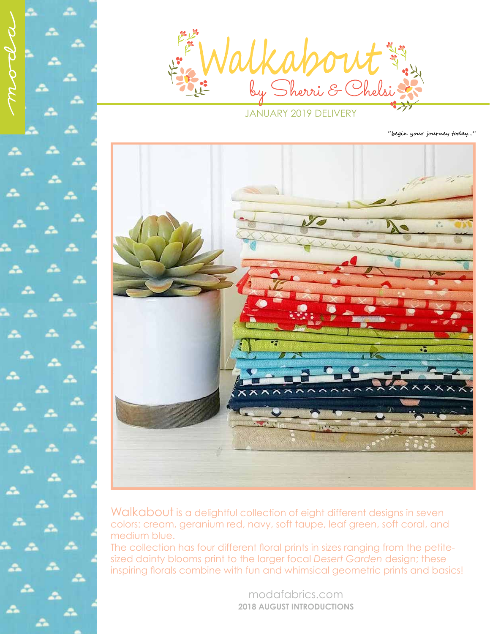

JANUARY 2019 DELIVERY

"begin your journey today..."



Walkabout is a delightful collection of eight different designs in seven colors: cream, geranium red, navy, soft taupe, leaf green, soft coral, and medium blue.

The collection has four different floral prints in sizes ranging from the petitesized dainty blooms print to the larger focal *Desert Garden* design; these inspiring florals combine with fun and whimsical geometric prints and basics!

> modafabrics.com **2018 AUGUST INTRODUCTIONS**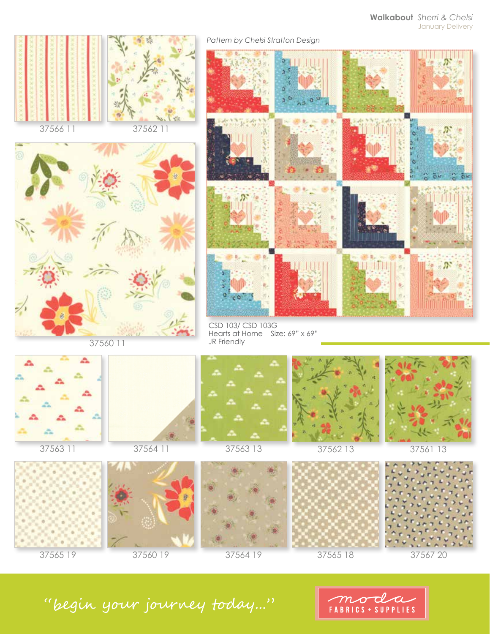





37560 11





CSD 103/ CSD 103G Hearts at Home Size: 69" x 69" JR Friendly



37563 11



37564 11









37565 19 37560 19 37564 19 37565 18 37567 20





"begin your journey today..."

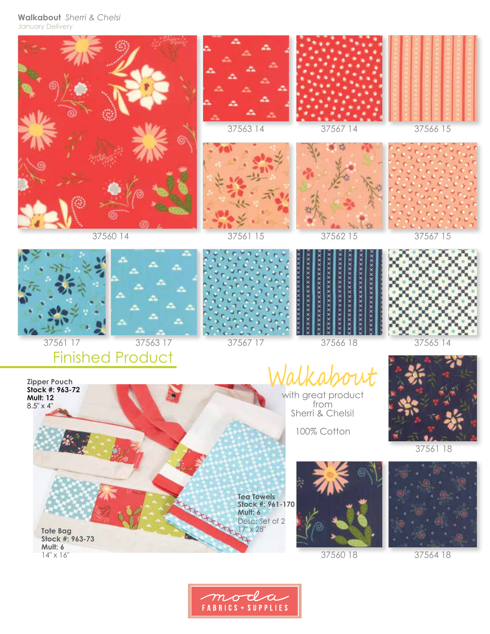## **Walkabout** *Sherri & Chelsi* January Delivery